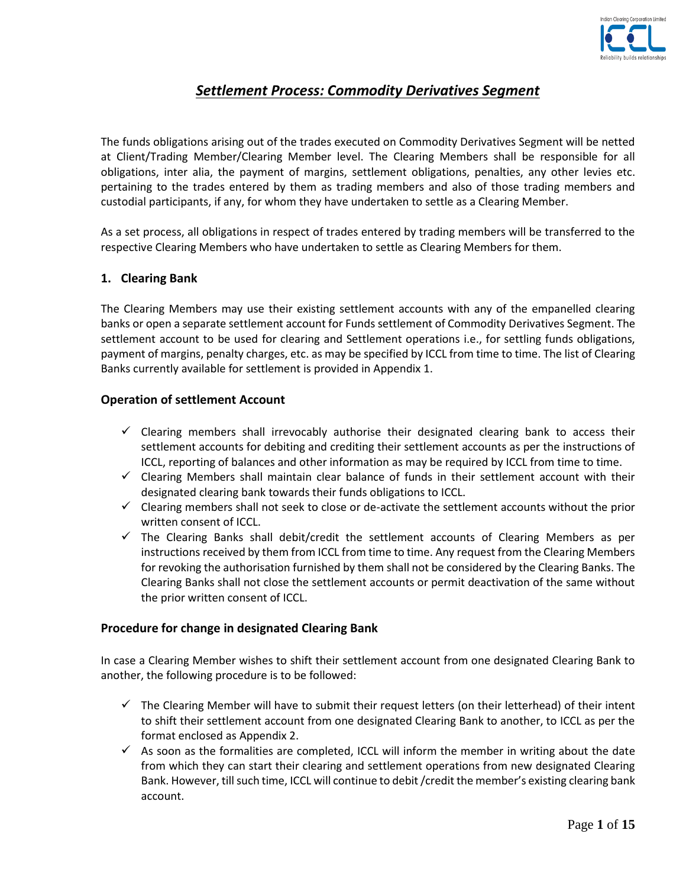

# *Settlement Process: Commodity Derivatives Segment*

The funds obligations arising out of the trades executed on Commodity Derivatives Segment will be netted at Client/Trading Member/Clearing Member level. The Clearing Members shall be responsible for all obligations, inter alia, the payment of margins, settlement obligations, penalties, any other levies etc. pertaining to the trades entered by them as trading members and also of those trading members and custodial participants, if any, for whom they have undertaken to settle as a Clearing Member.

As a set process, all obligations in respect of trades entered by trading members will be transferred to the respective Clearing Members who have undertaken to settle as Clearing Members for them.

## **1. Clearing Bank**

The Clearing Members may use their existing settlement accounts with any of the empanelled clearing banks or open a separate settlement account for Funds settlement of Commodity Derivatives Segment. The settlement account to be used for clearing and Settlement operations i.e., for settling funds obligations, payment of margins, penalty charges, etc. as may be specified by ICCL from time to time. The list of Clearing Banks currently available for settlement is provided in Appendix 1.

### **Operation of settlement Account**

- $\checkmark$  Clearing members shall irrevocably authorise their designated clearing bank to access their settlement accounts for debiting and crediting their settlement accounts as per the instructions of ICCL, reporting of balances and other information as may be required by ICCL from time to time.
- $\checkmark$  Clearing Members shall maintain clear balance of funds in their settlement account with their designated clearing bank towards their funds obligations to ICCL.
- $\checkmark$  Clearing members shall not seek to close or de-activate the settlement accounts without the prior written consent of ICCL.
- $\checkmark$  The Clearing Banks shall debit/credit the settlement accounts of Clearing Members as per instructions received by them from ICCL from time to time. Any request from the Clearing Members for revoking the authorisation furnished by them shall not be considered by the Clearing Banks. The Clearing Banks shall not close the settlement accounts or permit deactivation of the same without the prior written consent of ICCL.

### **Procedure for change in designated Clearing Bank**

In case a Clearing Member wishes to shift their settlement account from one designated Clearing Bank to another, the following procedure is to be followed:

- $\checkmark$  The Clearing Member will have to submit their request letters (on their letterhead) of their intent to shift their settlement account from one designated Clearing Bank to another, to ICCL as per the format enclosed as Appendix 2.
- $\checkmark$  As soon as the formalities are completed, ICCL will inform the member in writing about the date from which they can start their clearing and settlement operations from new designated Clearing Bank. However, till such time, ICCL will continue to debit /credit the member's existing clearing bank account.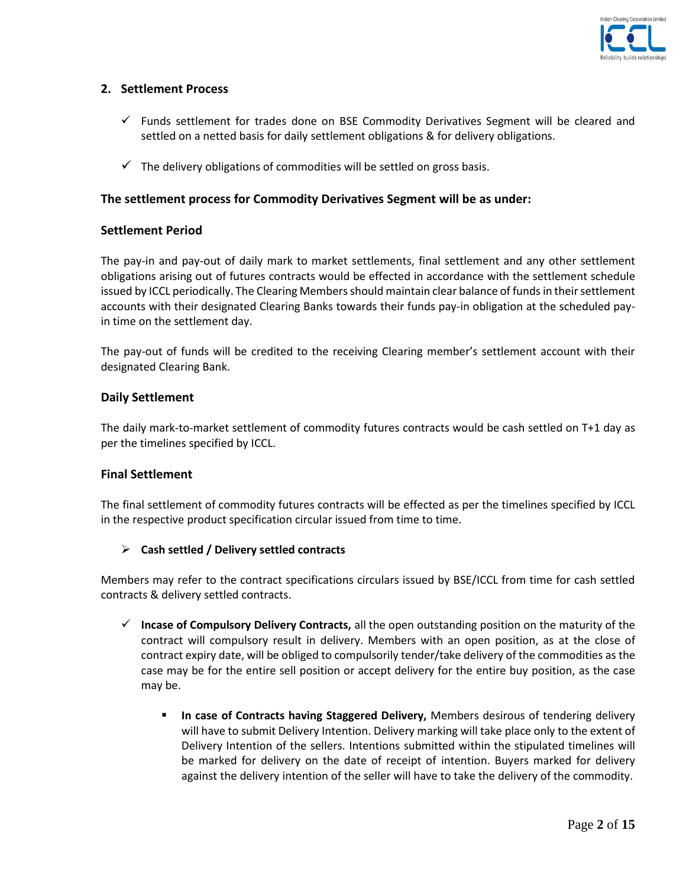

## **2. Settlement Process**

- $\checkmark$  Funds settlement for trades done on BSE Commodity Derivatives Segment will be cleared and settled on a netted basis for daily settlement obligations & for delivery obligations.
- $\checkmark$  The delivery obligations of commodities will be settled on gross basis.

#### **The settlement process for Commodity Derivatives Segment will be as under:**

#### **Settlement Period**

The pay-in and pay-out of daily mark to market settlements, final settlement and any other settlement obligations arising out of futures contracts would be effected in accordance with the settlement schedule issued by ICCL periodically. The Clearing Members should maintain clear balance of funds in their settlement accounts with their designated Clearing Banks towards their funds pay-in obligation at the scheduled payin time on the settlement day.

The pay-out of funds will be credited to the receiving Clearing member's settlement account with their designated Clearing Bank.

#### **Daily Settlement**

The daily mark-to-market settlement of commodity futures contracts would be cash settled on T+1 day as per the timelines specified by ICCL.

### **Final Settlement**

The final settlement of commodity futures contracts will be effected as per the timelines specified by ICCL in the respective product specification circular issued from time to time.

#### **Cash settled / Delivery settled contracts**

Members may refer to the contract specifications circulars issued by BSE/ICCL from time for cash settled contracts & delivery settled contracts.

- **Incase of Compulsory Delivery Contracts,** all the open outstanding position on the maturity of the contract will compulsory result in delivery. Members with an open position, as at the close of contract expiry date, will be obliged to compulsorily tender/take delivery of the commodities as the case may be for the entire sell position or accept delivery for the entire buy position, as the case may be.
	- **In case of Contracts having Staggered Delivery,** Members desirous of tendering delivery will have to submit Delivery Intention. Delivery marking will take place only to the extent of Delivery Intention of the sellers. Intentions submitted within the stipulated timelines will be marked for delivery on the date of receipt of intention. Buyers marked for delivery against the delivery intention of the seller will have to take the delivery of the commodity.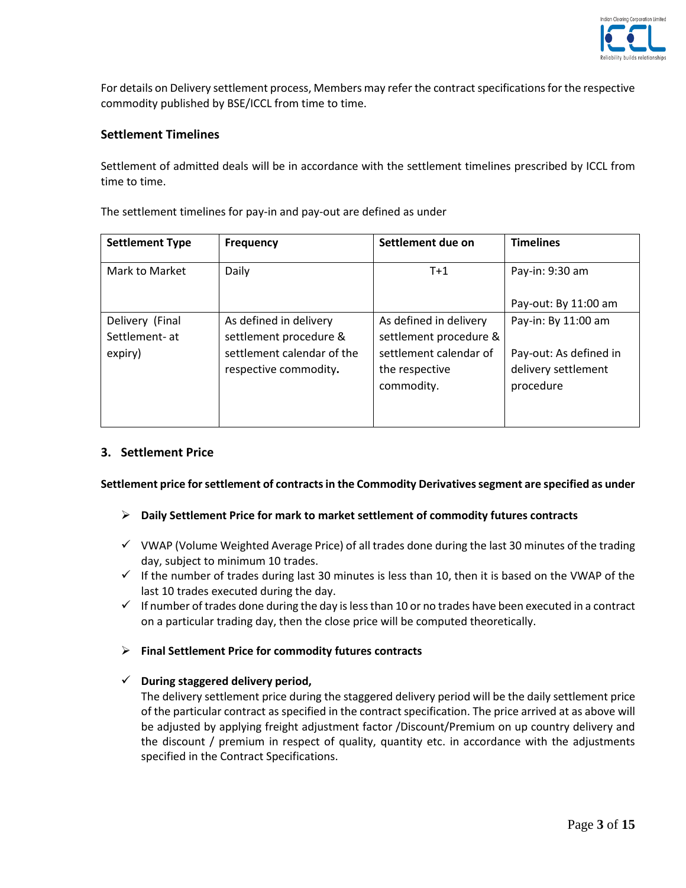

For details on Delivery settlement process, Members may refer the contract specifications for the respective commodity published by BSE/ICCL from time to time.

### **Settlement Timelines**

Settlement of admitted deals will be in accordance with the settlement timelines prescribed by ICCL from time to time.

| <b>Settlement Type</b> | <b>Frequency</b>           | Settlement due on      | <b>Timelines</b>       |
|------------------------|----------------------------|------------------------|------------------------|
| Mark to Market         | Daily                      | $T+1$                  | Pay-in: 9:30 am        |
|                        |                            |                        | Pay-out: By 11:00 am   |
| Delivery (Final        | As defined in delivery     | As defined in delivery | Pay-in: By 11:00 am    |
| Settlement- at         | settlement procedure &     | settlement procedure & |                        |
| expiry)                | settlement calendar of the | settlement calendar of | Pay-out: As defined in |
|                        | respective commodity.      | the respective         | delivery settlement    |
|                        |                            | commodity.             | procedure              |
|                        |                            |                        |                        |
|                        |                            |                        |                        |

The settlement timelines for pay-in and pay-out are defined as under

## **3. Settlement Price**

**Settlement price for settlement of contracts in the Commodity Derivatives segment are specified as under**

### **Daily Settlement Price for mark to market settlement of commodity futures contracts**

- $\checkmark$  VWAP (Volume Weighted Average Price) of all trades done during the last 30 minutes of the trading day, subject to minimum 10 trades.
- $\checkmark$  If the number of trades during last 30 minutes is less than 10, then it is based on the VWAP of the last 10 trades executed during the day.
- $\checkmark$  If number of trades done during the day is less than 10 or no trades have been executed in a contract on a particular trading day, then the close price will be computed theoretically.

### **Final Settlement Price for commodity futures contracts**

### **During staggered delivery period,**

The delivery settlement price during the staggered delivery period will be the daily settlement price of the particular contract as specified in the contract specification. The price arrived at as above will be adjusted by applying freight adjustment factor /Discount/Premium on up country delivery and the discount / premium in respect of quality, quantity etc. in accordance with the adjustments specified in the Contract Specifications.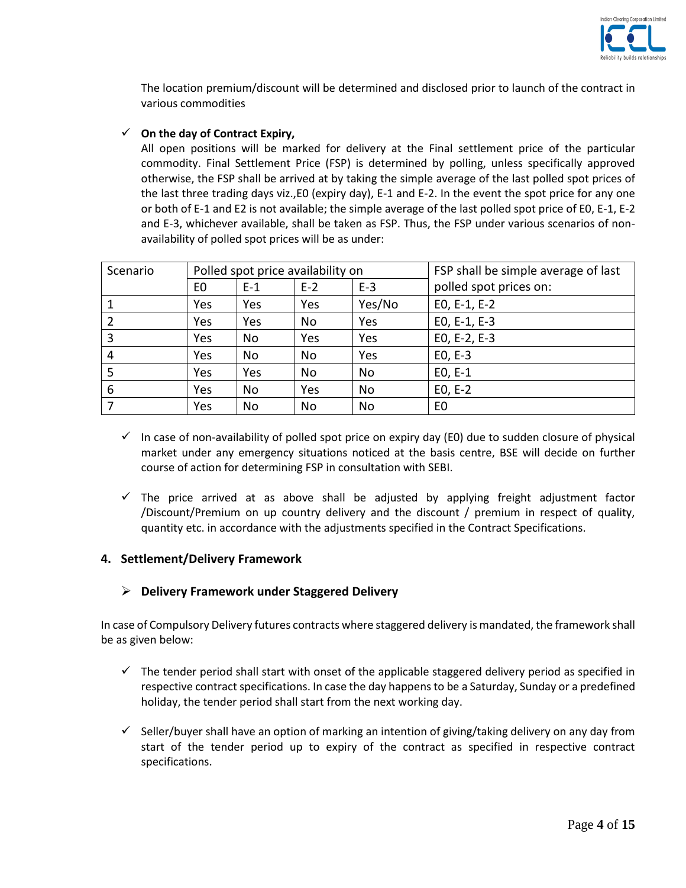

The location premium/discount will be determined and disclosed prior to launch of the contract in various commodities

### **On the day of Contract Expiry,**

All open positions will be marked for delivery at the Final settlement price of the particular commodity. Final Settlement Price (FSP) is determined by polling, unless specifically approved otherwise, the FSP shall be arrived at by taking the simple average of the last polled spot prices of the last three trading days viz.,E0 (expiry day), E-1 and E-2. In the event the spot price for any one or both of E-1 and E2 is not available; the simple average of the last polled spot price of E0, E-1, E-2 and E-3, whichever available, shall be taken as FSP. Thus, the FSP under various scenarios of nonavailability of polled spot prices will be as under:

| Scenario | Polled spot price availability on |       | FSP shall be simple average of last |        |                        |
|----------|-----------------------------------|-------|-------------------------------------|--------|------------------------|
|          | E <sub>0</sub>                    | $E-1$ | $E-2$                               | $E-3$  | polled spot prices on: |
|          | Yes                               | Yes   | Yes                                 | Yes/No | $E0, E-1, E-2$         |
|          | Yes                               | Yes   | No                                  | Yes    | EO, E-1, E-3           |
| 3        | Yes                               | No    | Yes                                 | Yes    | EO, E-2, E-3           |
| 4        | Yes                               | No    | No                                  | Yes    | $E0, E-3$              |
| 5        | Yes                               | Yes   | No                                  | No     | $E0, E-1$              |
| 6        | Yes                               | No    | Yes                                 | No     | $E0, E-2$              |
|          | Yes                               | No    | No                                  | No     | E <sub>0</sub>         |

- $\checkmark$  In case of non-availability of polled spot price on expiry day (E0) due to sudden closure of physical market under any emergency situations noticed at the basis centre, BSE will decide on further course of action for determining FSP in consultation with SEBI.
- $\checkmark$  The price arrived at as above shall be adjusted by applying freight adjustment factor /Discount/Premium on up country delivery and the discount / premium in respect of quality, quantity etc. in accordance with the adjustments specified in the Contract Specifications.

## **4. Settlement/Delivery Framework**

## **Delivery Framework under Staggered Delivery**

In case of Compulsory Delivery futures contracts where staggered delivery is mandated, the framework shall be as given below:

- $\checkmark$  The tender period shall start with onset of the applicable staggered delivery period as specified in respective contract specifications. In case the day happens to be a Saturday, Sunday or a predefined holiday, the tender period shall start from the next working day.
- $\checkmark$  Seller/buyer shall have an option of marking an intention of giving/taking delivery on any day from start of the tender period up to expiry of the contract as specified in respective contract specifications.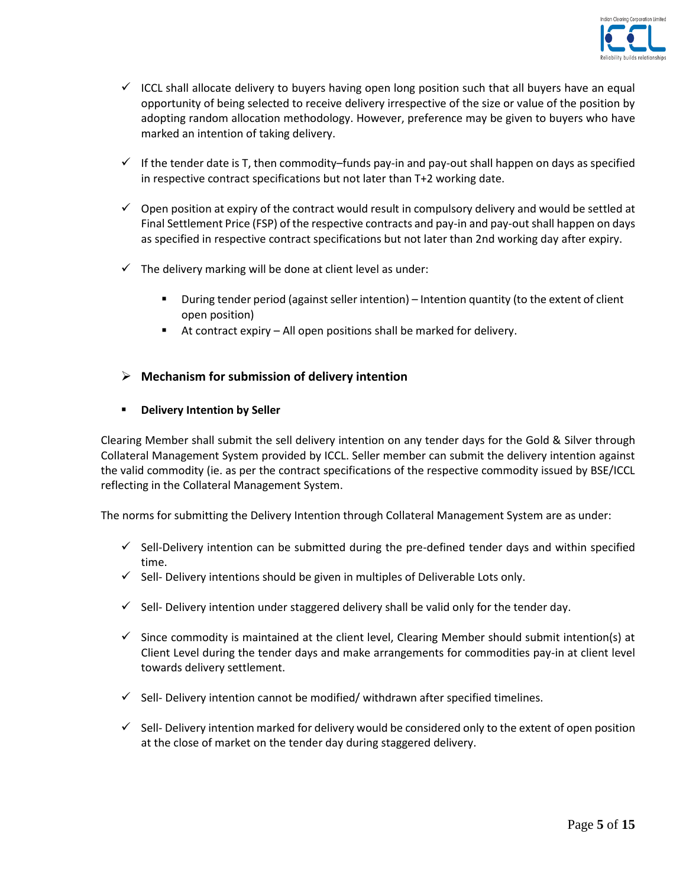

- $\checkmark$  ICCL shall allocate delivery to buyers having open long position such that all buyers have an equal opportunity of being selected to receive delivery irrespective of the size or value of the position by adopting random allocation methodology. However, preference may be given to buyers who have marked an intention of taking delivery.
- $\checkmark$  If the tender date is T, then commodity–funds pay-in and pay-out shall happen on days as specified in respective contract specifications but not later than T+2 working date.
- $\checkmark$  Open position at expiry of the contract would result in compulsory delivery and would be settled at Final Settlement Price (FSP) of the respective contracts and pay-in and pay-out shall happen on days as specified in respective contract specifications but not later than 2nd working day after expiry.
- $\checkmark$  The delivery marking will be done at client level as under:
	- During tender period (against seller intention) Intention quantity (to the extent of client open position)
	- At contract expiry All open positions shall be marked for delivery.

## **Mechanism for submission of delivery intention**

## **Physiolen Exercise I** Delivery Intention by Seller

Clearing Member shall submit the sell delivery intention on any tender days for the Gold & Silver through Collateral Management System provided by ICCL. Seller member can submit the delivery intention against the valid commodity (ie. as per the contract specifications of the respective commodity issued by BSE/ICCL reflecting in the Collateral Management System.

The norms for submitting the Delivery Intention through Collateral Management System are as under:

- $\checkmark$  Sell-Delivery intention can be submitted during the pre-defined tender days and within specified time.
- $\checkmark$  Sell- Delivery intentions should be given in multiples of Deliverable Lots only.
- $\checkmark$  Sell-Delivery intention under staggered delivery shall be valid only for the tender day.
- $\checkmark$  Since commodity is maintained at the client level, Clearing Member should submit intention(s) at Client Level during the tender days and make arrangements for commodities pay-in at client level towards delivery settlement.
- $\checkmark$  Sell- Delivery intention cannot be modified/ withdrawn after specified timelines.
- $\checkmark$  Sell-Delivery intention marked for delivery would be considered only to the extent of open position at the close of market on the tender day during staggered delivery.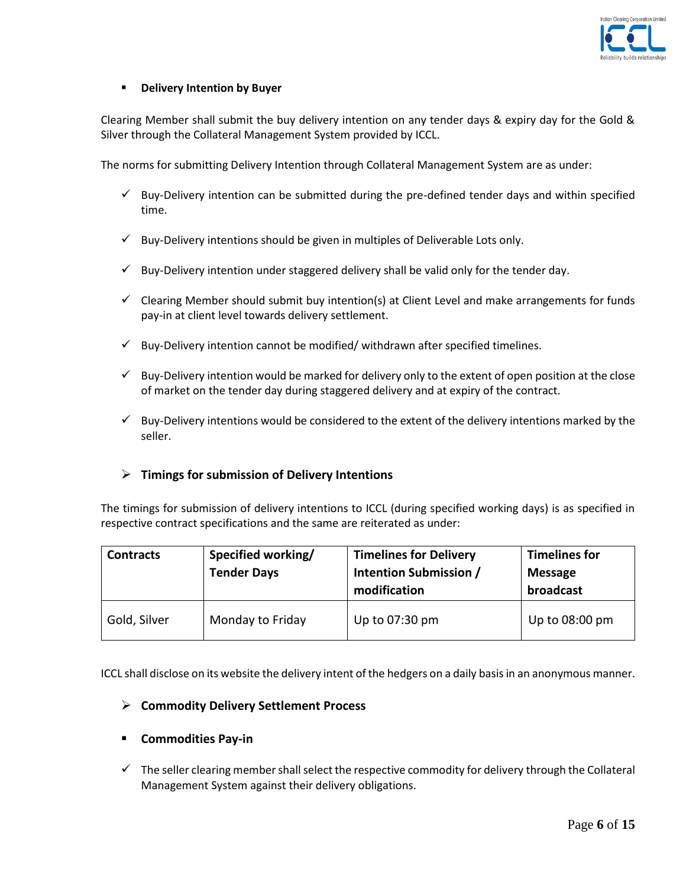

### **P** Delivery Intention by Buyer

Clearing Member shall submit the buy delivery intention on any tender days & expiry day for the Gold & Silver through the Collateral Management System provided by ICCL.

The norms for submitting Delivery Intention through Collateral Management System are as under:

- $\checkmark$  Buy-Delivery intention can be submitted during the pre-defined tender days and within specified time.
- $\checkmark$  Buy-Delivery intentions should be given in multiples of Deliverable Lots only.
- $\checkmark$  Buy-Delivery intention under staggered delivery shall be valid only for the tender day.
- $\checkmark$  Clearing Member should submit buy intention(s) at Client Level and make arrangements for funds pay-in at client level towards delivery settlement.
- $\checkmark$  Buy-Delivery intention cannot be modified/ withdrawn after specified timelines.
- $\checkmark$  Buy-Delivery intention would be marked for delivery only to the extent of open position at the close of market on the tender day during staggered delivery and at expiry of the contract.
- $\checkmark$  Buy-Delivery intentions would be considered to the extent of the delivery intentions marked by the seller.

## **Timings for submission of Delivery Intentions**

The timings for submission of delivery intentions to ICCL (during specified working days) is as specified in respective contract specifications and the same are reiterated as under:

| <b>Contracts</b> | Specified working/<br><b>Tender Days</b> | <b>Timelines for Delivery</b><br>Intention Submission /<br>modification | <b>Timelines for</b><br><b>Message</b><br>broadcast |
|------------------|------------------------------------------|-------------------------------------------------------------------------|-----------------------------------------------------|
| Gold, Silver     | Monday to Friday                         | Up to 07:30 pm                                                          | Up to 08:00 pm                                      |

ICCL shall disclose on its website the delivery intent of the hedgers on a daily basis in an anonymous manner.

### **Commodity Delivery Settlement Process**

### **Commodities Pay-in**

 $\checkmark$  The seller clearing member shall select the respective commodity for delivery through the Collateral Management System against their delivery obligations.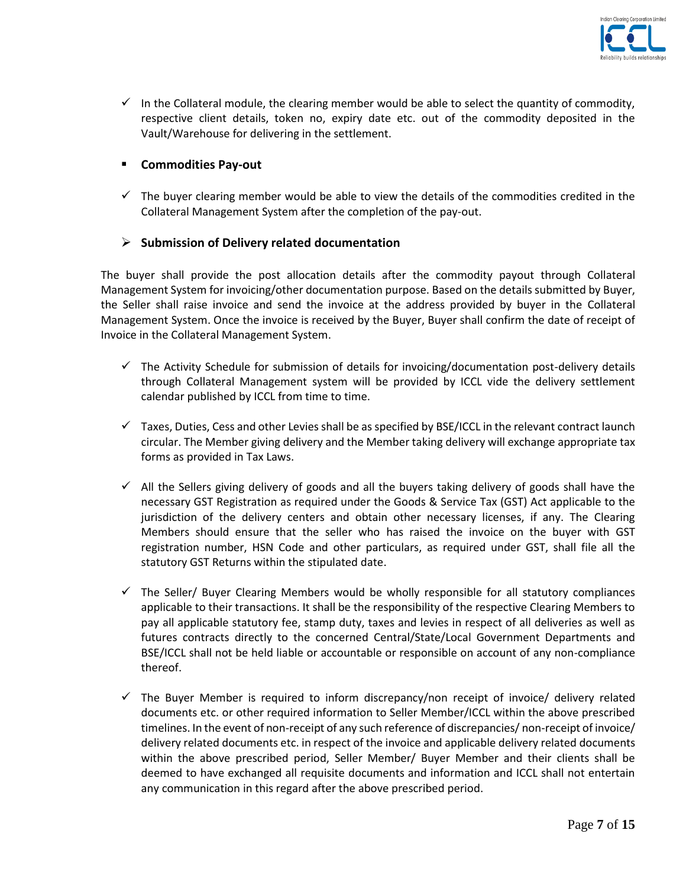

 $\checkmark$  In the Collateral module, the clearing member would be able to select the quantity of commodity, respective client details, token no, expiry date etc. out of the commodity deposited in the Vault/Warehouse for delivering in the settlement.

## **Commodities Pay-out**

 $\checkmark$  The buyer clearing member would be able to view the details of the commodities credited in the Collateral Management System after the completion of the pay-out.

# **Submission of Delivery related documentation**

The buyer shall provide the post allocation details after the commodity payout through Collateral Management System for invoicing/other documentation purpose. Based on the details submitted by Buyer, the Seller shall raise invoice and send the invoice at the address provided by buyer in the Collateral Management System. Once the invoice is received by the Buyer, Buyer shall confirm the date of receipt of Invoice in the Collateral Management System.

- $\checkmark$  The Activity Schedule for submission of details for invoicing/documentation post-delivery details through Collateral Management system will be provided by ICCL vide the delivery settlement calendar published by ICCL from time to time.
- $\checkmark$  Taxes, Duties, Cess and other Levies shall be as specified by BSE/ICCL in the relevant contract launch circular. The Member giving delivery and the Member taking delivery will exchange appropriate tax forms as provided in Tax Laws.
- $\checkmark$  All the Sellers giving delivery of goods and all the buyers taking delivery of goods shall have the necessary GST Registration as required under the Goods & Service Tax (GST) Act applicable to the jurisdiction of the delivery centers and obtain other necessary licenses, if any. The Clearing Members should ensure that the seller who has raised the invoice on the buyer with GST registration number, HSN Code and other particulars, as required under GST, shall file all the statutory GST Returns within the stipulated date.
- $\checkmark$  The Seller/ Buyer Clearing Members would be wholly responsible for all statutory compliances applicable to their transactions. It shall be the responsibility of the respective Clearing Members to pay all applicable statutory fee, stamp duty, taxes and levies in respect of all deliveries as well as futures contracts directly to the concerned Central/State/Local Government Departments and BSE/ICCL shall not be held liable or accountable or responsible on account of any non-compliance thereof.
- $\checkmark$  The Buyer Member is required to inform discrepancy/non receipt of invoice/ delivery related documents etc. or other required information to Seller Member/ICCL within the above prescribed timelines. In the event of non-receipt of any such reference of discrepancies/ non-receipt of invoice/ delivery related documents etc. in respect of the invoice and applicable delivery related documents within the above prescribed period, Seller Member/ Buyer Member and their clients shall be deemed to have exchanged all requisite documents and information and ICCL shall not entertain any communication in this regard after the above prescribed period.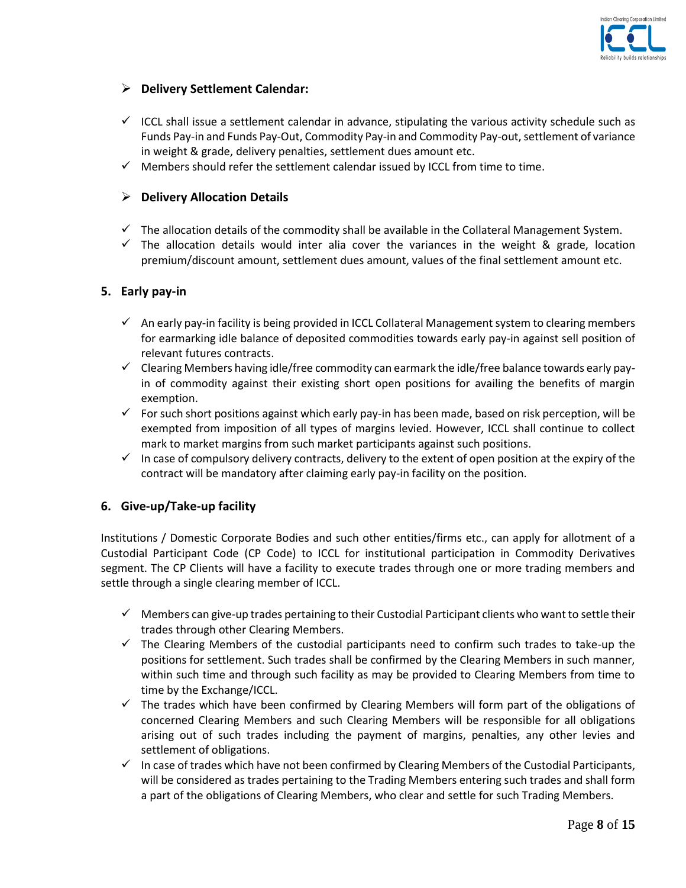

# **Delivery Settlement Calendar:**

- $\checkmark$  ICCL shall issue a settlement calendar in advance, stipulating the various activity schedule such as Funds Pay-in and Funds Pay-Out, Commodity Pay-in and Commodity Pay-out, settlement of variance in weight & grade, delivery penalties, settlement dues amount etc.
- $\checkmark$  Members should refer the settlement calendar issued by ICCL from time to time.

## **Delivery Allocation Details**

- $\checkmark$  The allocation details of the commodity shall be available in the Collateral Management System.
- $\checkmark$  The allocation details would inter alia cover the variances in the weight & grade, location premium/discount amount, settlement dues amount, values of the final settlement amount etc.

## **5. Early pay-in**

- $\checkmark$  An early pay-in facility is being provided in ICCL Collateral Management system to clearing members for earmarking idle balance of deposited commodities towards early pay-in against sell position of relevant futures contracts.
- $\checkmark$  Clearing Members having idle/free commodity can earmark the idle/free balance towards early payin of commodity against their existing short open positions for availing the benefits of margin exemption.
- $\checkmark$  For such short positions against which early pay-in has been made, based on risk perception, will be exempted from imposition of all types of margins levied. However, ICCL shall continue to collect mark to market margins from such market participants against such positions.
- In case of compulsory delivery contracts, delivery to the extent of open position at the expiry of the contract will be mandatory after claiming early pay-in facility on the position.

## **6. Give-up/Take-up facility**

Institutions / Domestic Corporate Bodies and such other entities/firms etc., can apply for allotment of a Custodial Participant Code (CP Code) to ICCL for institutional participation in Commodity Derivatives segment. The CP Clients will have a facility to execute trades through one or more trading members and settle through a single clearing member of ICCL.

- $\checkmark$  Members can give-up trades pertaining to their Custodial Participant clients who want to settle their trades through other Clearing Members.
- $\checkmark$  The Clearing Members of the custodial participants need to confirm such trades to take-up the positions for settlement. Such trades shall be confirmed by the Clearing Members in such manner, within such time and through such facility as may be provided to Clearing Members from time to time by the Exchange/ICCL.
- $\checkmark$  The trades which have been confirmed by Clearing Members will form part of the obligations of concerned Clearing Members and such Clearing Members will be responsible for all obligations arising out of such trades including the payment of margins, penalties, any other levies and settlement of obligations.
- $\checkmark$  In case of trades which have not been confirmed by Clearing Members of the Custodial Participants, will be considered as trades pertaining to the Trading Members entering such trades and shall form a part of the obligations of Clearing Members, who clear and settle for such Trading Members.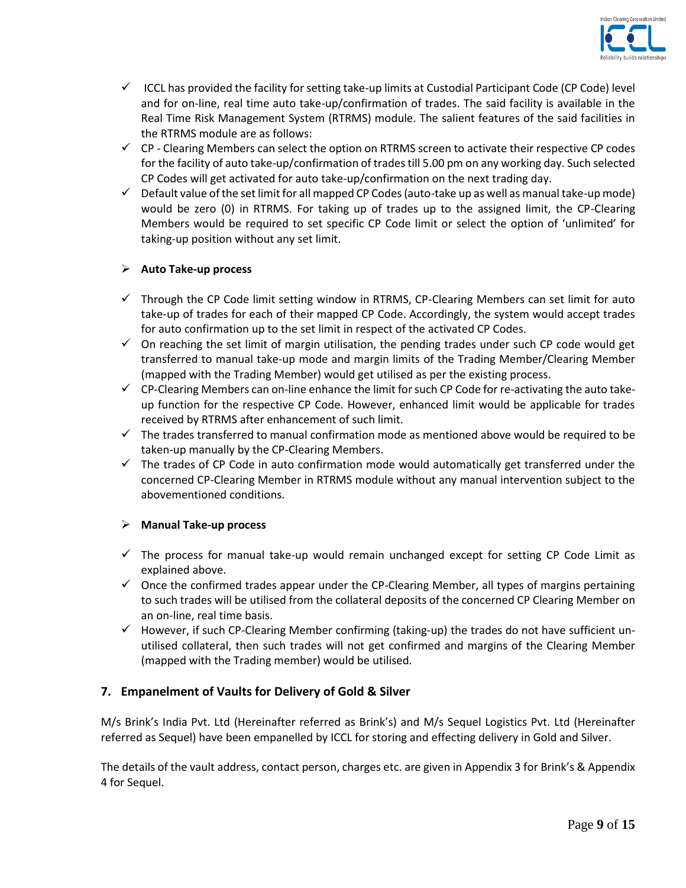

- $\checkmark$  ICCL has provided the facility for setting take-up limits at Custodial Participant Code (CP Code) level and for on-line, real time auto take-up/confirmation of trades. The said facility is available in the Real Time Risk Management System (RTRMS) module. The salient features of the said facilities in the RTRMS module are as follows:
- $\checkmark$  CP Clearing Members can select the option on RTRMS screen to activate their respective CP codes for the facility of auto take-up/confirmation of trades till 5.00 pm on any working day. Such selected CP Codes will get activated for auto take-up/confirmation on the next trading day.
- $\checkmark$  Default value of the set limit for all mapped CP Codes (auto-take up as well as manual take-up mode) would be zero (0) in RTRMS. For taking up of trades up to the assigned limit, the CP-Clearing Members would be required to set specific CP Code limit or select the option of 'unlimited' for taking-up position without any set limit.

## **Auto Take-up process**

- $\checkmark$  Through the CP Code limit setting window in RTRMS, CP-Clearing Members can set limit for auto take-up of trades for each of their mapped CP Code. Accordingly, the system would accept trades for auto confirmation up to the set limit in respect of the activated CP Codes.
- $\checkmark$  On reaching the set limit of margin utilisation, the pending trades under such CP code would get transferred to manual take-up mode and margin limits of the Trading Member/Clearing Member (mapped with the Trading Member) would get utilised as per the existing process.
- $\checkmark$  CP-Clearing Members can on-line enhance the limit for such CP Code for re-activating the auto takeup function for the respective CP Code. However, enhanced limit would be applicable for trades received by RTRMS after enhancement of such limit.
- $\checkmark$  The trades transferred to manual confirmation mode as mentioned above would be required to be taken-up manually by the CP-Clearing Members.
- $\checkmark$  The trades of CP Code in auto confirmation mode would automatically get transferred under the concerned CP-Clearing Member in RTRMS module without any manual intervention subject to the abovementioned conditions.

### **Manual Take-up process**

- $\checkmark$  The process for manual take-up would remain unchanged except for setting CP Code Limit as explained above.
- $\checkmark$  Once the confirmed trades appear under the CP-Clearing Member, all types of margins pertaining to such trades will be utilised from the collateral deposits of the concerned CP Clearing Member on an on-line, real time basis.
- $\checkmark$  However, if such CP-Clearing Member confirming (taking-up) the trades do not have sufficient unutilised collateral, then such trades will not get confirmed and margins of the Clearing Member (mapped with the Trading member) would be utilised.

## **7. Empanelment of Vaults for Delivery of Gold & Silver**

M/s Brink's India Pvt. Ltd (Hereinafter referred as Brink's) and M/s Sequel Logistics Pvt. Ltd (Hereinafter referred as Sequel) have been empanelled by ICCL for storing and effecting delivery in Gold and Silver.

The details of the vault address, contact person, charges etc. are given in Appendix 3 for Brink's & Appendix 4 for Sequel.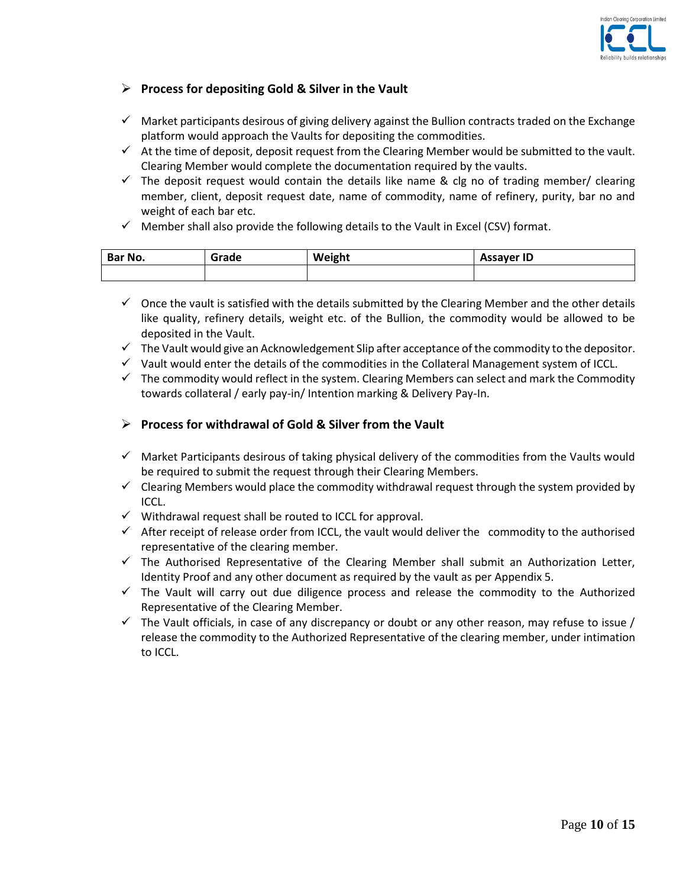

## **Process for depositing Gold & Silver in the Vault**

- $\checkmark$  Market participants desirous of giving delivery against the Bullion contracts traded on the Exchange platform would approach the Vaults for depositing the commodities.
- $\checkmark$  At the time of deposit, deposit request from the Clearing Member would be submitted to the vault. Clearing Member would complete the documentation required by the vaults.
- $\checkmark$  The deposit request would contain the details like name & clg no of trading member/ clearing member, client, deposit request date, name of commodity, name of refinery, purity, bar no and weight of each bar etc.
- $\checkmark$  Member shall also provide the following details to the Vault in Excel (CSV) format.

| Bar No. | irade | Weight | `ssayer ID<br>njje. |
|---------|-------|--------|---------------------|
|         |       |        |                     |

- $\checkmark$  Once the vault is satisfied with the details submitted by the Clearing Member and the other details like quality, refinery details, weight etc. of the Bullion, the commodity would be allowed to be deposited in the Vault.
- $\checkmark$  The Vault would give an Acknowledgement Slip after acceptance of the commodity to the depositor.
- $\checkmark$  Vault would enter the details of the commodities in the Collateral Management system of ICCL.
- $\checkmark$  The commodity would reflect in the system. Clearing Members can select and mark the Commodity towards collateral / early pay-in/ Intention marking & Delivery Pay-In.

## **Process for withdrawal of Gold & Silver from the Vault**

- $\checkmark$  Market Participants desirous of taking physical delivery of the commodities from the Vaults would be required to submit the request through their Clearing Members.
- $\checkmark$  Clearing Members would place the commodity withdrawal request through the system provided by ICCL.
- $\checkmark$  Withdrawal request shall be routed to ICCL for approval.
- $\checkmark$  After receipt of release order from ICCL, the vault would deliver the commodity to the authorised representative of the clearing member.
- $\checkmark$  The Authorised Representative of the Clearing Member shall submit an Authorization Letter, Identity Proof and any other document as required by the vault as per Appendix 5.
- $\checkmark$  The Vault will carry out due diligence process and release the commodity to the Authorized Representative of the Clearing Member.
- $\checkmark$  The Vault officials, in case of any discrepancy or doubt or any other reason, may refuse to issue / release the commodity to the Authorized Representative of the clearing member, under intimation to ICCL.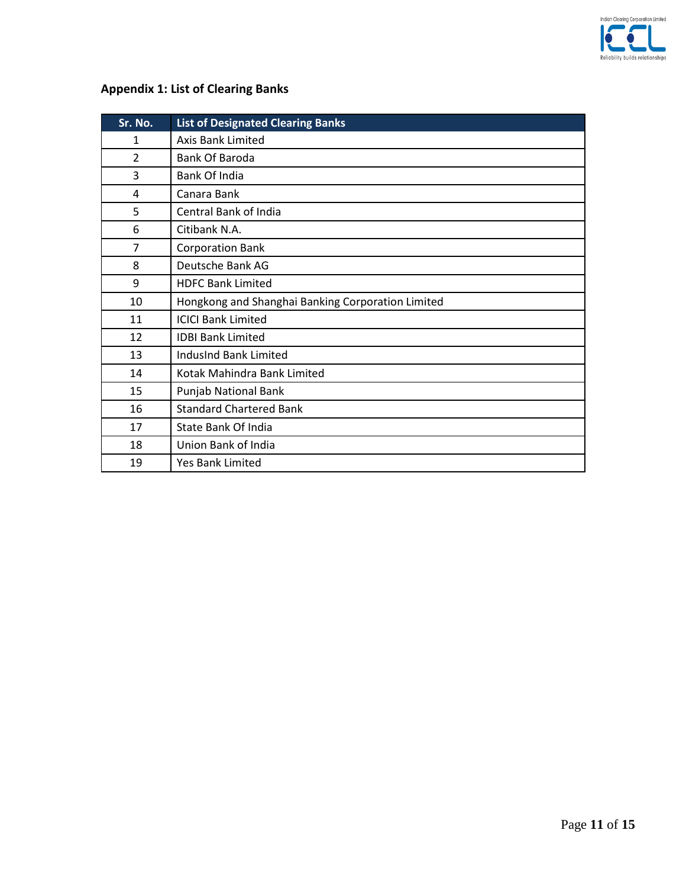

# **Appendix 1: List of Clearing Banks**

| Sr. No.        | <b>List of Designated Clearing Banks</b>          |
|----------------|---------------------------------------------------|
| $\mathbf{1}$   | Axis Bank Limited                                 |
| $\overline{2}$ | Bank Of Baroda                                    |
| 3              | Bank Of India                                     |
| 4              | Canara Bank                                       |
| 5              | Central Bank of India                             |
| 6              | Citibank N.A.                                     |
| 7              | <b>Corporation Bank</b>                           |
| 8              | Deutsche Bank AG                                  |
| 9              | <b>HDFC Bank Limited</b>                          |
| 10             | Hongkong and Shanghai Banking Corporation Limited |
| 11             | <b>ICICI Bank Limited</b>                         |
| 12             | <b>IDBI Bank Limited</b>                          |
| 13             | <b>IndusInd Bank Limited</b>                      |
| 14             | Kotak Mahindra Bank Limited                       |
| 15             | Punjab National Bank                              |
| 16             | <b>Standard Chartered Bank</b>                    |
| 17             | State Bank Of India                               |
| 18             | Union Bank of India                               |
| 19             | <b>Yes Bank Limited</b>                           |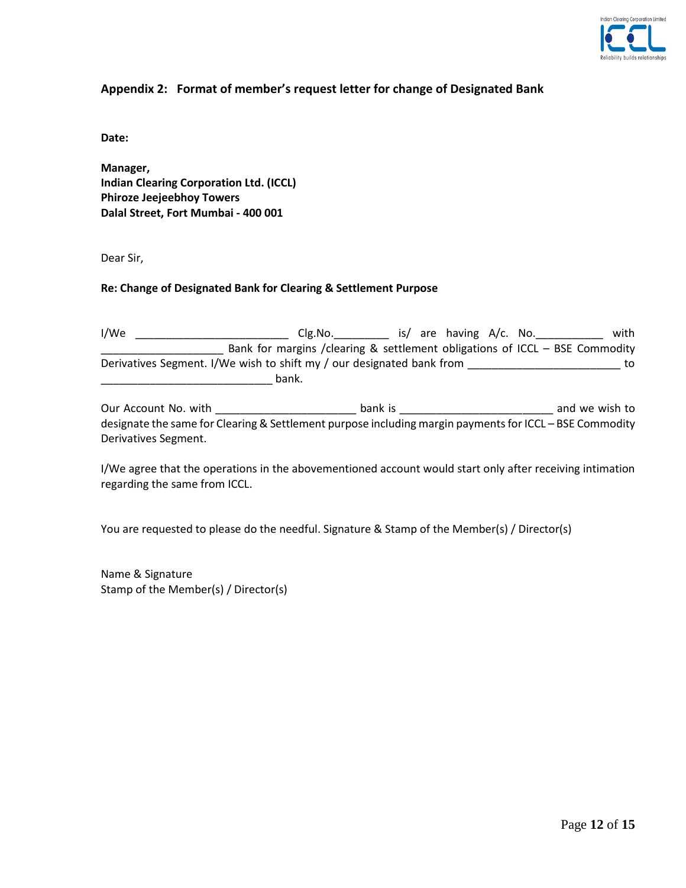

## **Appendix 2: Format of member's request letter for change of Designated Bank**

**Date:**

**Manager, Indian Clearing Corporation Ltd. (ICCL) Phiroze Jeejeebhoy Towers Dalal Street, Fort Mumbai - 400 001**

Dear Sir,

#### **Re: Change of Designated Bank for Clearing & Settlement Purpose**

I/We Letter Letter Clg.No. The same state of the state of the Clg.No. The state of the Clg.No. \_\_\_\_\_\_\_\_\_\_\_\_\_\_\_\_\_\_\_\_ Bank for margins /clearing & settlement obligations of ICCL – BSE Commodity Derivatives Segment. I/We wish to shift my / our designated bank from \_\_\_\_\_\_\_\_\_\_\_\_\_\_\_\_\_\_\_\_\_\_\_\_\_\_\_ to \_\_\_\_\_\_\_\_\_\_\_\_\_\_\_\_\_\_\_\_\_\_\_\_\_\_\_\_ bank.

Our Account No. with \_\_\_\_\_\_\_\_\_\_\_\_\_\_\_\_\_\_\_\_\_\_\_ bank is \_\_\_\_\_\_\_\_\_\_\_\_\_\_\_\_\_\_\_\_\_\_\_\_\_ and we wish to designate the same for Clearing & Settlement purpose including margin payments for ICCL – BSE Commodity Derivatives Segment.

I/We agree that the operations in the abovementioned account would start only after receiving intimation regarding the same from ICCL.

You are requested to please do the needful. Signature & Stamp of the Member(s) / Director(s)

Name & Signature Stamp of the Member(s) / Director(s)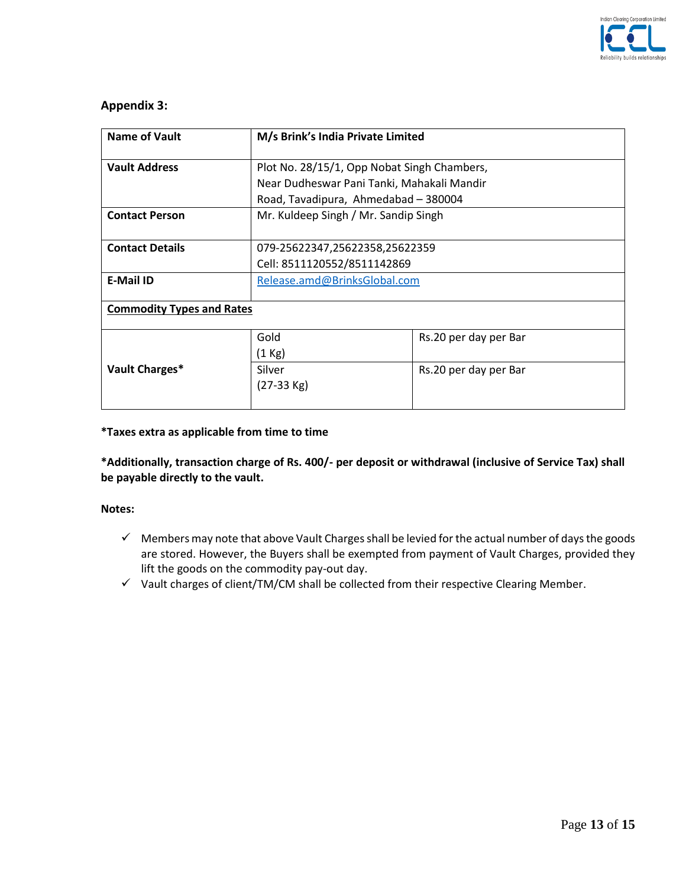

## **Appendix 3:**

| <b>Name of Vault</b>             | M/s Brink's India Private Limited           |                       |  |
|----------------------------------|---------------------------------------------|-----------------------|--|
| <b>Vault Address</b>             | Plot No. 28/15/1, Opp Nobat Singh Chambers, |                       |  |
|                                  | Near Dudheswar Pani Tanki, Mahakali Mandir  |                       |  |
|                                  | Road, Tavadipura, Ahmedabad - 380004        |                       |  |
| <b>Contact Person</b>            | Mr. Kuldeep Singh / Mr. Sandip Singh        |                       |  |
|                                  |                                             |                       |  |
| <b>Contact Details</b>           | 079-25622347,25622358,25622359              |                       |  |
|                                  | Cell: 8511120552/8511142869                 |                       |  |
| <b>E-Mail ID</b>                 | Release.amd@BrinksGlobal.com                |                       |  |
|                                  |                                             |                       |  |
| <b>Commodity Types and Rates</b> |                                             |                       |  |
|                                  | Gold                                        | Rs.20 per day per Bar |  |
|                                  | $(1$ Kg)                                    |                       |  |
| Vault Charges*                   | Silver<br>Rs.20 per day per Bar             |                       |  |
|                                  |                                             |                       |  |
|                                  |                                             |                       |  |

#### **\*Taxes extra as applicable from time to time**

**\*Additionally, transaction charge of Rs. 400/- per deposit or withdrawal (inclusive of Service Tax) shall be payable directly to the vault.** 

#### **Notes:**

- $\checkmark$  Members may note that above Vault Charges shall be levied for the actual number of days the goods are stored. However, the Buyers shall be exempted from payment of Vault Charges, provided they lift the goods on the commodity pay-out day.
- $\checkmark$  Vault charges of client/TM/CM shall be collected from their respective Clearing Member.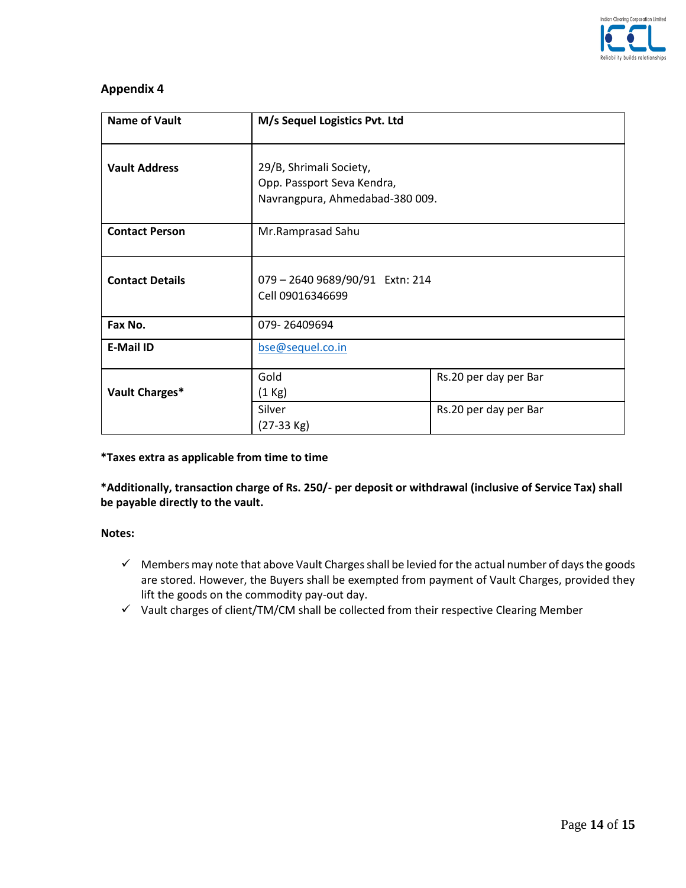

# **Appendix 4**

| <b>Name of Vault</b>   | M/s Sequel Logistics Pvt. Ltd                                                            |                       |  |
|------------------------|------------------------------------------------------------------------------------------|-----------------------|--|
| <b>Vault Address</b>   | 29/B, Shrimali Society,<br>Opp. Passport Seva Kendra,<br>Navrangpura, Ahmedabad-380 009. |                       |  |
| <b>Contact Person</b>  | Mr.Ramprasad Sahu                                                                        |                       |  |
| <b>Contact Details</b> | 079 - 2640 9689/90/91 Extn: 214<br>Cell 09016346699                                      |                       |  |
| Fax No.                | 079-26409694                                                                             |                       |  |
| <b>E-Mail ID</b>       | bse@sequel.co.in                                                                         |                       |  |
| Vault Charges*         | Gold<br>$(1$ Kg)                                                                         | Rs.20 per day per Bar |  |
|                        | Silver<br>$(27-33$ Kg)                                                                   | Rs.20 per day per Bar |  |

**\*Taxes extra as applicable from time to time**

**\*Additionally, transaction charge of Rs. 250/- per deposit or withdrawal (inclusive of Service Tax) shall be payable directly to the vault.** 

### **Notes:**

- $\checkmark$  Members may note that above Vault Charges shall be levied for the actual number of days the goods are stored. However, the Buyers shall be exempted from payment of Vault Charges, provided they lift the goods on the commodity pay-out day.
- $\checkmark$  Vault charges of client/TM/CM shall be collected from their respective Clearing Member